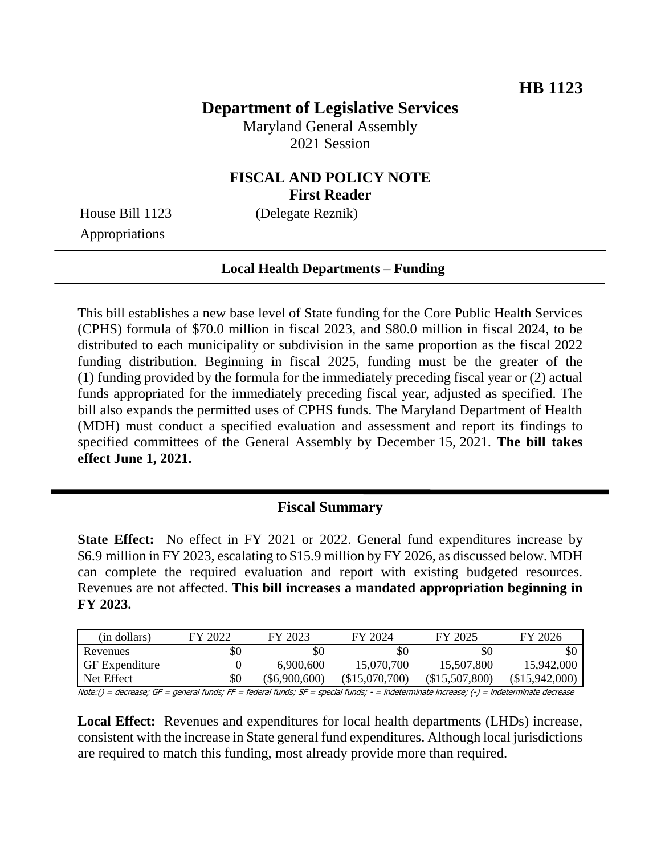# **Department of Legislative Services**

Maryland General Assembly 2021 Session

### **FISCAL AND POLICY NOTE First Reader**

**Local Health Departments – Funding**

Appropriations

House Bill 1123 (Delegate Reznik)

This bill establishes a new base level of State funding for the Core Public Health Services (CPHS) formula of \$70.0 million in fiscal 2023, and \$80.0 million in fiscal 2024, to be distributed to each municipality or subdivision in the same proportion as the fiscal 2022 funding distribution. Beginning in fiscal 2025, funding must be the greater of the (1) funding provided by the formula for the immediately preceding fiscal year or (2) actual funds appropriated for the immediately preceding fiscal year, adjusted as specified. The bill also expands the permitted uses of CPHS funds. The Maryland Department of Health (MDH) must conduct a specified evaluation and assessment and report its findings to specified committees of the General Assembly by December 15, 2021. **The bill takes effect June 1, 2021.**

## **Fiscal Summary**

**State Effect:** No effect in FY 2021 or 2022. General fund expenditures increase by \$6.9 million in FY 2023, escalating to \$15.9 million by FY 2026, as discussed below. MDH can complete the required evaluation and report with existing budgeted resources. Revenues are not affected. **This bill increases a mandated appropriation beginning in FY 2023.**

| (in dollars)                                                                                                                              | FY 2022 | FY 2023       | FY 2024        | FY 2025        | FY 2026        |  |
|-------------------------------------------------------------------------------------------------------------------------------------------|---------|---------------|----------------|----------------|----------------|--|
| Revenues                                                                                                                                  | \$0     | 80            | \$0            | SC             | \$0            |  |
| <b>GF</b> Expenditure                                                                                                                     |         | 6,900,600     | 15,070,700     | 15,507,800     | 15,942,000     |  |
| Net Effect                                                                                                                                | \$0     | (\$6,900,600) | (\$15,070,700) | (\$15,507,800) | (\$15,942,000) |  |
| $Moto/)=dscm2ce$ ; CE = general funde; EE = foderal funde; CE = enecial funde; = = indeterminate increases; (-) = indeterminate decreases |         |               |                |                |                |  |

Note:() = decrease; GF = general funds; FF = federal funds; SF = special funds; - = indeterminate increase; (-) = indeterminate decrease

Local Effect: Revenues and expenditures for local health departments (LHDs) increase, consistent with the increase in State general fund expenditures. Although local jurisdictions are required to match this funding, most already provide more than required.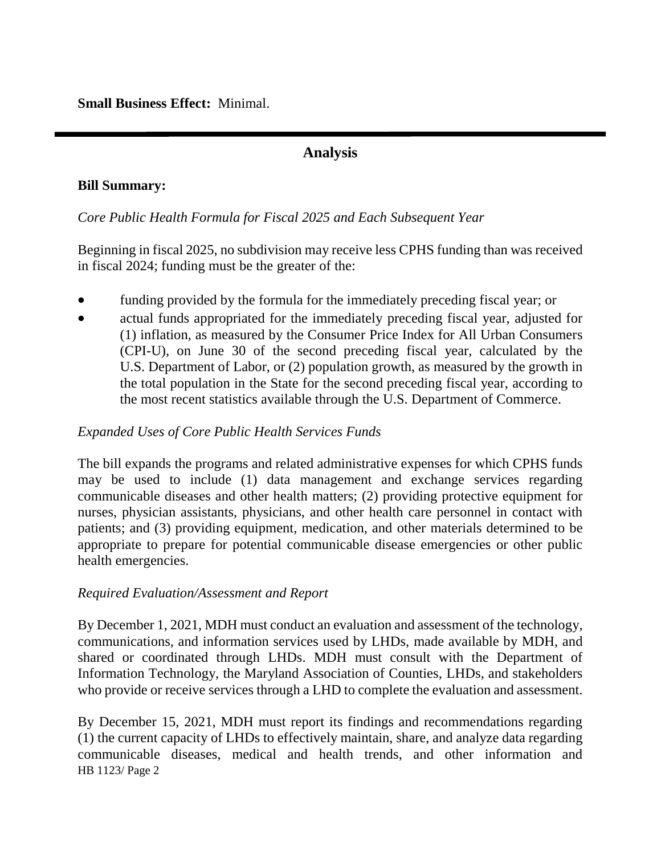**Small Business Effect:** Minimal.

# **Analysis**

#### **Bill Summary:**

#### *Core Public Health Formula for Fiscal 2025 and Each Subsequent Year*

Beginning in fiscal 2025, no subdivision may receive less CPHS funding than was received in fiscal 2024; funding must be the greater of the:

- funding provided by the formula for the immediately preceding fiscal year; or
- actual funds appropriated for the immediately preceding fiscal year, adjusted for (1) inflation, as measured by the Consumer Price Index for All Urban Consumers (CPI-U), on June 30 of the second preceding fiscal year, calculated by the U.S. Department of Labor, or (2) population growth, as measured by the growth in the total population in the State for the second preceding fiscal year, according to the most recent statistics available through the U.S. Department of Commerce.

### *Expanded Uses of Core Public Health Services Funds*

The bill expands the programs and related administrative expenses for which CPHS funds may be used to include (1) data management and exchange services regarding communicable diseases and other health matters; (2) providing protective equipment for nurses, physician assistants, physicians, and other health care personnel in contact with patients; and (3) providing equipment, medication, and other materials determined to be appropriate to prepare for potential communicable disease emergencies or other public health emergencies.

### *Required Evaluation/Assessment and Report*

By December 1, 2021, MDH must conduct an evaluation and assessment of the technology, communications, and information services used by LHDs, made available by MDH, and shared or coordinated through LHDs. MDH must consult with the Department of Information Technology, the Maryland Association of Counties, LHDs, and stakeholders who provide or receive services through a LHD to complete the evaluation and assessment.

HB 1123/ Page 2 By December 15, 2021, MDH must report its findings and recommendations regarding (1) the current capacity of LHDs to effectively maintain, share, and analyze data regarding communicable diseases, medical and health trends, and other information and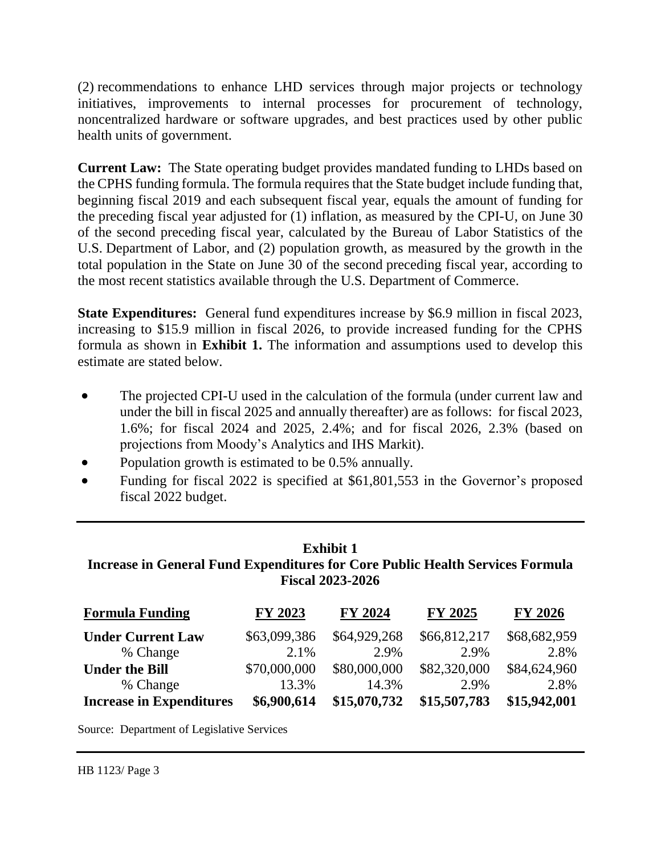(2) recommendations to enhance LHD services through major projects or technology initiatives, improvements to internal processes for procurement of technology, noncentralized hardware or software upgrades, and best practices used by other public health units of government.

**Current Law:** The State operating budget provides mandated funding to LHDs based on the CPHS funding formula. The formula requires that the State budget include funding that, beginning fiscal 2019 and each subsequent fiscal year, equals the amount of funding for the preceding fiscal year adjusted for (1) inflation, as measured by the CPI-U, on June 30 of the second preceding fiscal year, calculated by the Bureau of Labor Statistics of the U.S. Department of Labor, and (2) population growth, as measured by the growth in the total population in the State on June 30 of the second preceding fiscal year, according to the most recent statistics available through the U.S. Department of Commerce.

**State Expenditures:** General fund expenditures increase by \$6.9 million in fiscal 2023, increasing to \$15.9 million in fiscal 2026, to provide increased funding for the CPHS formula as shown in **Exhibit 1.** The information and assumptions used to develop this estimate are stated below.

- The projected CPI-U used in the calculation of the formula (under current law and under the bill in fiscal 2025 and annually thereafter) are as follows: for fiscal 2023, 1.6%; for fiscal 2024 and 2025, 2.4%; and for fiscal 2026, 2.3% (based on projections from Moody's Analytics and IHS Markit).
- Population growth is estimated to be 0.5% annually.
- Funding for fiscal 2022 is specified at \$61,801,553 in the Governor's proposed fiscal 2022 budget.

### **Exhibit 1 Increase in General Fund Expenditures for Core Public Health Services Formula Fiscal 2023-2026**

| <b>Formula Funding</b>          | FY 2023      | FY 2024      | <b>FY 2025</b> | <b>FY 2026</b> |
|---------------------------------|--------------|--------------|----------------|----------------|
| <b>Under Current Law</b>        | \$63,099,386 | \$64,929,268 | \$66,812,217   | \$68,682,959   |
| % Change                        | 2.1%         | 2.9%         | 2.9%           | 2.8%           |
| <b>Under the Bill</b>           | \$70,000,000 | \$80,000,000 | \$82,320,000   | \$84,624,960   |
| % Change                        | 13.3%        | 14.3%        | 2.9%           | 2.8%           |
| <b>Increase in Expenditures</b> | \$6,900,614  | \$15,070,732 | \$15,507,783   | \$15,942,001   |

Source: Department of Legislative Services